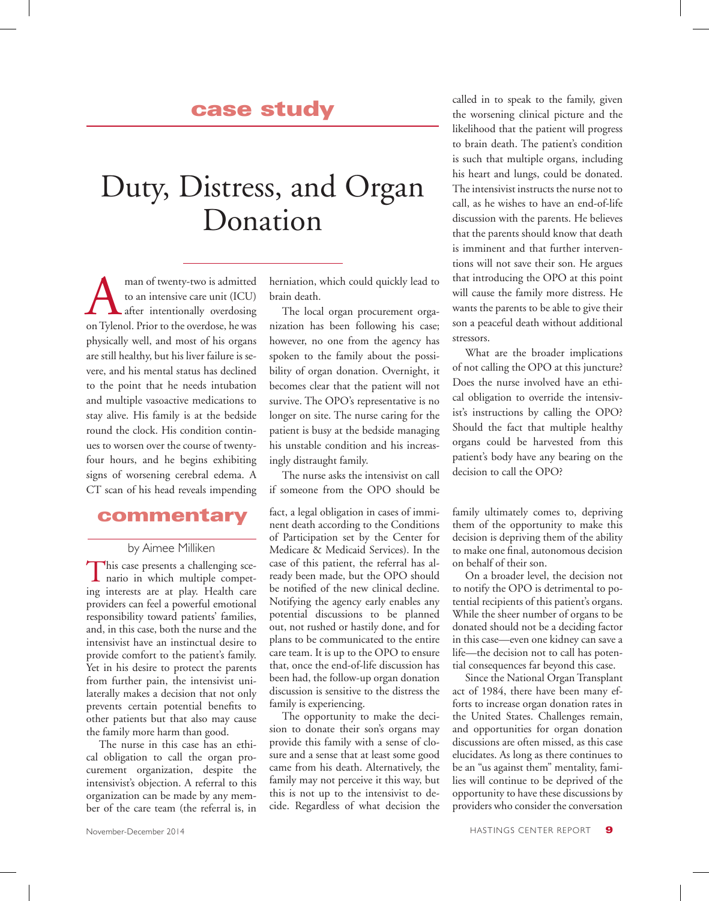## case study

# Duty, Distress, and Organ Donation

man of twenty-two is admitted<br>to an intensive care unit (ICU)<br>after intentionally overdosing<br>on Tylenol. Prior to the overdose, he was to an intensive care unit (ICU) after intentionally overdosing on Tylenol. Prior to the overdose, he was physically well, and most of his organs are still healthy, but his liver failure is severe, and his mental status has declined to the point that he needs intubation and multiple vasoactive medications to stay alive. His family is at the bedside round the clock. His condition continues to worsen over the course of twentyfour hours, and he begins exhibiting signs of worsening cerebral edema. A CT scan of his head reveals impending

## commentary

#### by Aimee Milliken

This case presents a challenging scenario in which multiple competing interests are at play. Health care providers can feel a powerful emotional responsibility toward patients' families, and, in this case, both the nurse and the intensivist have an instinctual desire to provide comfort to the patient's family. Yet in his desire to protect the parents from further pain, the intensivist unilaterally makes a decision that not only prevents certain potential benefits to other patients but that also may cause the family more harm than good.

The nurse in this case has an ethical obligation to call the organ procurement organization, despite the intensivist's objection. A referral to this organization can be made by any member of the care team (the referral is, in

herniation, which could quickly lead to brain death.

The local organ procurement organization has been following his case; however, no one from the agency has spoken to the family about the possibility of organ donation. Overnight, it becomes clear that the patient will not survive. The OPO's representative is no longer on site. The nurse caring for the patient is busy at the bedside managing his unstable condition and his increasingly distraught family.

The nurse asks the intensivist on call if someone from the OPO should be

fact, a legal obligation in cases of imminent death according to the Conditions of Participation set by the Center for Medicare & Medicaid Services). In the case of this patient, the referral has already been made, but the OPO should be notified of the new clinical decline. Notifying the agency early enables any potential discussions to be planned out, not rushed or hastily done, and for plans to be communicated to the entire care team. It is up to the OPO to ensure that, once the end-of-life discussion has been had, the follow-up organ donation discussion is sensitive to the distress the family is experiencing.

The opportunity to make the decision to donate their son's organs may provide this family with a sense of closure and a sense that at least some good came from his death. Alternatively, the family may not perceive it this way, but this is not up to the intensivist to decide. Regardless of what decision the

called in to speak to the family, given the worsening clinical picture and the likelihood that the patient will progress to brain death. The patient's condition is such that multiple organs, including his heart and lungs, could be donated. The intensivist instructs the nurse not to call, as he wishes to have an end-of-life discussion with the parents. He believes that the parents should know that death is imminent and that further interventions will not save their son. He argues that introducing the OPO at this point will cause the family more distress. He wants the parents to be able to give their son a peaceful death without additional stressors.

What are the broader implications of not calling the OPO at this juncture? Does the nurse involved have an ethical obligation to override the intensivist's instructions by calling the OPO? Should the fact that multiple healthy organs could be harvested from this patient's body have any bearing on the decision to call the OPO?

family ultimately comes to, depriving them of the opportunity to make this decision is depriving them of the ability to make one final, autonomous decision on behalf of their son.

On a broader level, the decision not to notify the OPO is detrimental to potential recipients of this patient's organs. While the sheer number of organs to be donated should not be a deciding factor in this case—even one kidney can save a life—the decision not to call has potential consequences far beyond this case.

Since the National Organ Transplant act of 1984, there have been many efforts to increase organ donation rates in the United States. Challenges remain, and opportunities for organ donation discussions are often missed, as this case elucidates. As long as there continues to be an "us against them" mentality, families will continue to be deprived of the opportunity to have these discussions by providers who consider the conversation